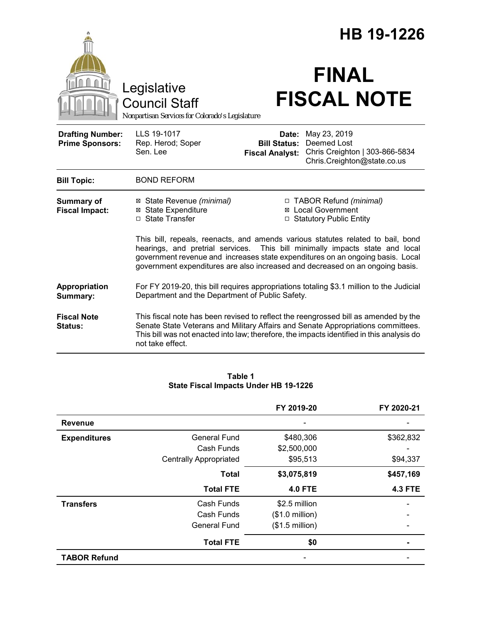|                                                   |                                                                                                                                                                                                                                                                                                                                    | HB 19-1226                                                                                                      |                                                                                                                                                                                                                                                                      |  |  |
|---------------------------------------------------|------------------------------------------------------------------------------------------------------------------------------------------------------------------------------------------------------------------------------------------------------------------------------------------------------------------------------------|-----------------------------------------------------------------------------------------------------------------|----------------------------------------------------------------------------------------------------------------------------------------------------------------------------------------------------------------------------------------------------------------------|--|--|
|                                                   | Legislative<br><b>Council Staff</b><br>Nonpartisan Services for Colorado's Legislature                                                                                                                                                                                                                                             |                                                                                                                 | <b>FINAL</b><br><b>FISCAL NOTE</b>                                                                                                                                                                                                                                   |  |  |
| <b>Drafting Number:</b><br><b>Prime Sponsors:</b> | LLS 19-1017<br>Rep. Herod; Soper<br>Sen. Lee                                                                                                                                                                                                                                                                                       | Date:<br><b>Bill Status:</b><br><b>Fiscal Analyst:</b>                                                          | May 23, 2019<br>Deemed Lost<br>Chris Creighton   303-866-5834<br>Chris.Creighton@state.co.us                                                                                                                                                                         |  |  |
| <b>Bill Topic:</b>                                | <b>BOND REFORM</b>                                                                                                                                                                                                                                                                                                                 |                                                                                                                 |                                                                                                                                                                                                                                                                      |  |  |
| <b>Summary of</b><br><b>Fiscal Impact:</b>        | <b>⊠</b> State Expenditure<br>□ State Transfer                                                                                                                                                                                                                                                                                     | □ TABOR Refund (minimal)<br>⊠ State Revenue (minimal)<br><b>⊠</b> Local Government<br>□ Statutory Public Entity |                                                                                                                                                                                                                                                                      |  |  |
|                                                   | This bill, repeals, reenacts, and amends various statutes related to bail, bond<br>hearings, and pretrial services. This bill minimally impacts state and local<br>government revenue and increases state expenditures on an ongoing basis. Local<br>government expenditures are also increased and decreased on an ongoing basis. |                                                                                                                 |                                                                                                                                                                                                                                                                      |  |  |
| Appropriation<br>Summary:                         | For FY 2019-20, this bill requires appropriations totaling \$3.1 million to the Judicial<br>Department and the Department of Public Safety.                                                                                                                                                                                        |                                                                                                                 |                                                                                                                                                                                                                                                                      |  |  |
| <b>Fiscal Note</b><br><b>Status:</b>              | not take effect.                                                                                                                                                                                                                                                                                                                   |                                                                                                                 | This fiscal note has been revised to reflect the reengrossed bill as amended by the<br>Senate State Veterans and Military Affairs and Senate Appropriations committees.<br>This bill was not enacted into law; therefore, the impacts identified in this analysis do |  |  |

#### **Table 1 State Fiscal Impacts Under HB 19-1226**

|                     |                               | FY 2019-20               | FY 2020-21     |
|---------------------|-------------------------------|--------------------------|----------------|
| <b>Revenue</b>      |                               |                          |                |
| <b>Expenditures</b> | <b>General Fund</b>           | \$480,306                | \$362,832      |
|                     | Cash Funds                    | \$2,500,000              |                |
|                     | <b>Centrally Appropriated</b> | \$95,513                 | \$94,337       |
|                     | <b>Total</b>                  | \$3,075,819              | \$457,169      |
|                     | <b>Total FTE</b>              | <b>4.0 FTE</b>           | <b>4.3 FTE</b> |
| <b>Transfers</b>    | Cash Funds                    | \$2.5 million            |                |
|                     | Cash Funds                    | $($1.0 \text{ million})$ |                |
|                     | <b>General Fund</b>           | $($1.5$ million)         |                |
|                     | <b>Total FTE</b>              | \$0                      |                |
| <b>TABOR Refund</b> |                               |                          |                |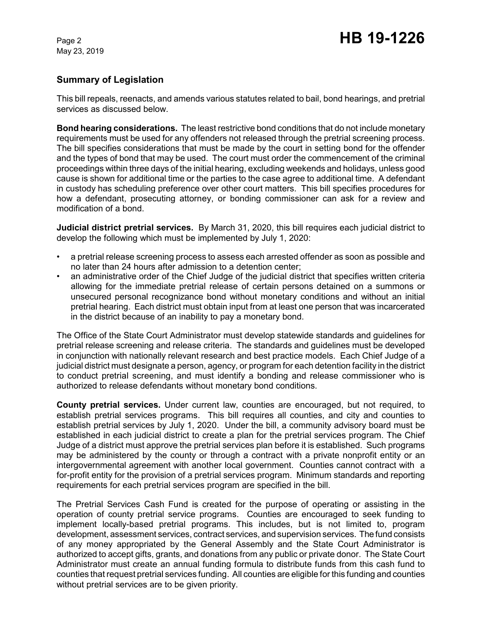# **Summary of Legislation**

This bill repeals, reenacts, and amends various statutes related to bail, bond hearings, and pretrial services as discussed below.

**Bond hearing considerations.** The least restrictive bond conditions that do not include monetary requirements must be used for any offenders not released through the pretrial screening process. The bill specifies considerations that must be made by the court in setting bond for the offender and the types of bond that may be used. The court must order the commencement of the criminal proceedings within three days of the initial hearing, excluding weekends and holidays, unless good cause is shown for additional time or the parties to the case agree to additional time. A defendant in custody has scheduling preference over other court matters. This bill specifies procedures for how a defendant, prosecuting attorney, or bonding commissioner can ask for a review and modification of a bond.

**Judicial district pretrial services.** By March 31, 2020, this bill requires each judicial district to develop the following which must be implemented by July 1, 2020:

- a pretrial release screening process to assess each arrested offender as soon as possible and no later than 24 hours after admission to a detention center;
- an administrative order of the Chief Judge of the judicial district that specifies written criteria allowing for the immediate pretrial release of certain persons detained on a summons or unsecured personal recognizance bond without monetary conditions and without an initial pretrial hearing. Each district must obtain input from at least one person that was incarcerated in the district because of an inability to pay a monetary bond.

The Office of the State Court Administrator must develop statewide standards and guidelines for pretrial release screening and release criteria. The standards and guidelines must be developed in conjunction with nationally relevant research and best practice models. Each Chief Judge of a judicial district must designate a person, agency, or program for each detention facility in the district to conduct pretrial screening, and must identify a bonding and release commissioner who is authorized to release defendants without monetary bond conditions.

**County pretrial services.** Under current law, counties are encouraged, but not required, to establish pretrial services programs. This bill requires all counties, and city and counties to establish pretrial services by July 1, 2020. Under the bill, a community advisory board must be established in each judicial district to create a plan for the pretrial services program. The Chief Judge of a district must approve the pretrial services plan before it is established. Such programs may be administered by the county or through a contract with a private nonprofit entity or an intergovernmental agreement with another local government. Counties cannot contract with a for-profit entity for the provision of a pretrial services program. Minimum standards and reporting requirements for each pretrial services program are specified in the bill.

The Pretrial Services Cash Fund is created for the purpose of operating or assisting in the operation of county pretrial service programs. Counties are encouraged to seek funding to implement locally-based pretrial programs. This includes, but is not limited to, program development, assessment services, contract services, and supervision services. The fund consists of any money appropriated by the General Assembly and the State Court Administrator is authorized to accept gifts, grants, and donations from any public or private donor. The State Court Administrator must create an annual funding formula to distribute funds from this cash fund to counties that request pretrial services funding. All counties are eligible for this funding and counties without pretrial services are to be given priority.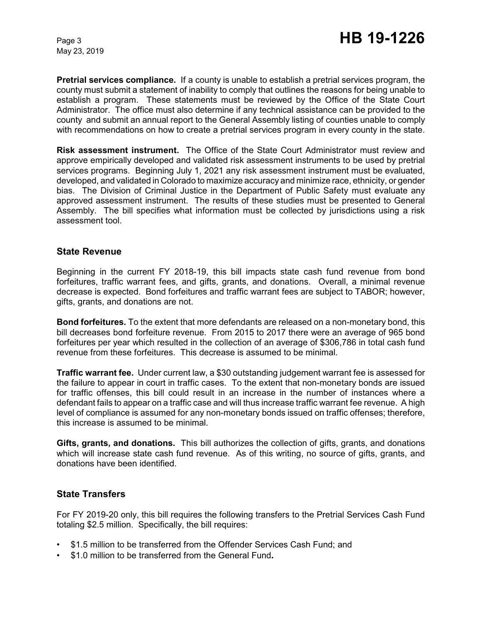**Pretrial services compliance.** If a county is unable to establish a pretrial services program, the county must submit a statement of inability to comply that outlines the reasons for being unable to establish a program. These statements must be reviewed by the Office of the State Court Administrator. The office must also determine if any technical assistance can be provided to the county and submit an annual report to the General Assembly listing of counties unable to comply with recommendations on how to create a pretrial services program in every county in the state.

**Risk assessment instrument.** The Office of the State Court Administrator must review and approve empirically developed and validated risk assessment instruments to be used by pretrial services programs. Beginning July 1, 2021 any risk assessment instrument must be evaluated, developed, and validated in Colorado to maximize accuracy and minimize race, ethnicity, or gender bias. The Division of Criminal Justice in the Department of Public Safety must evaluate any approved assessment instrument. The results of these studies must be presented to General Assembly. The bill specifies what information must be collected by jurisdictions using a risk assessment tool.

### **State Revenue**

Beginning in the current FY 2018-19, this bill impacts state cash fund revenue from bond forfeitures, traffic warrant fees, and gifts, grants, and donations. Overall, a minimal revenue decrease is expected. Bond forfeitures and traffic warrant fees are subject to TABOR; however, gifts, grants, and donations are not.

**Bond forfeitures.** To the extent that more defendants are released on a non-monetary bond, this bill decreases bond forfeiture revenue. From 2015 to 2017 there were an average of 965 bond forfeitures per year which resulted in the collection of an average of \$306,786 in total cash fund revenue from these forfeitures. This decrease is assumed to be minimal.

**Traffic warrant fee.** Under current law, a \$30 outstanding judgement warrant fee is assessed for the failure to appear in court in traffic cases. To the extent that non-monetary bonds are issued for traffic offenses, this bill could result in an increase in the number of instances where a defendant fails to appear on a traffic case and will thus increase traffic warrant fee revenue. A high level of compliance is assumed for any non-monetary bonds issued on traffic offenses; therefore, this increase is assumed to be minimal.

**Gifts, grants, and donations.** This bill authorizes the collection of gifts, grants, and donations which will increase state cash fund revenue. As of this writing, no source of gifts, grants, and donations have been identified.

## **State Transfers**

For FY 2019-20 only, this bill requires the following transfers to the Pretrial Services Cash Fund totaling \$2.5 million. Specifically, the bill requires:

- \$1.5 million to be transferred from the Offender Services Cash Fund; and
- \$1.0 million to be transferred from the General Fund**.**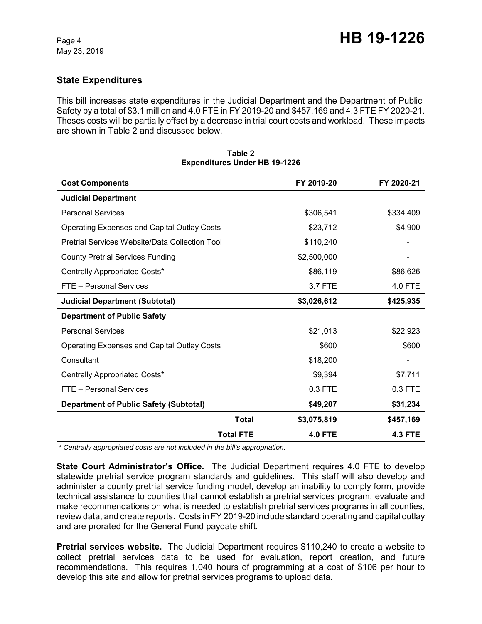# **State Expenditures**

This bill increases state expenditures in the Judicial Department and the Department of Public Safety by a total of \$3.1 million and 4.0 FTE in FY 2019-20 and \$457,169 and 4.3 FTE FY 2020-21. Theses costs will be partially offset by a decrease in trial court costs and workload. These impacts are shown in Table 2 and discussed below.

| <b>Cost Components</b>                             |                  | FY 2019-20     | FY 2020-21     |
|----------------------------------------------------|------------------|----------------|----------------|
| <b>Judicial Department</b>                         |                  |                |                |
| <b>Personal Services</b>                           |                  | \$306,541      | \$334,409      |
| Operating Expenses and Capital Outlay Costs        |                  | \$23,712       | \$4,900        |
| Pretrial Services Website/Data Collection Tool     |                  | \$110,240      |                |
| <b>County Pretrial Services Funding</b>            |                  | \$2,500,000    |                |
| Centrally Appropriated Costs*                      |                  | \$86,119       | \$86,626       |
| FTE - Personal Services                            |                  | 3.7 FTE        | 4.0 FTE        |
| <b>Judicial Department (Subtotal)</b>              |                  | \$3,026,612    | \$425,935      |
| <b>Department of Public Safety</b>                 |                  |                |                |
| <b>Personal Services</b>                           |                  | \$21,013       | \$22,923       |
| <b>Operating Expenses and Capital Outlay Costs</b> |                  | \$600          | \$600          |
| Consultant                                         |                  | \$18,200       |                |
| Centrally Appropriated Costs*                      |                  | \$9,394        | \$7,711        |
| FTE - Personal Services                            |                  | 0.3 FTE        | 0.3 FTE        |
| <b>Department of Public Safety (Subtotal)</b>      |                  | \$49,207       | \$31,234       |
|                                                    | Total            | \$3,075,819    | \$457,169      |
|                                                    | <b>Total FTE</b> | <b>4.0 FTE</b> | <b>4.3 FTE</b> |

#### **Table 2 Expenditures Under HB 19-1226**

 *\* Centrally appropriated costs are not included in the bill's appropriation.*

**State Court Administrator's Office.** The Judicial Department requires 4.0 FTE to develop statewide pretrial service program standards and guidelines. This staff will also develop and administer a county pretrial service funding model, develop an inability to comply form, provide technical assistance to counties that cannot establish a pretrial services program, evaluate and make recommendations on what is needed to establish pretrial services programs in all counties, review data, and create reports. Costs in FY 2019-20 include standard operating and capital outlay and are prorated for the General Fund paydate shift.

**Pretrial services website.** The Judicial Department requires \$110,240 to create a website to collect pretrial services data to be used for evaluation, report creation, and future recommendations. This requires 1,040 hours of programming at a cost of \$106 per hour to develop this site and allow for pretrial services programs to upload data.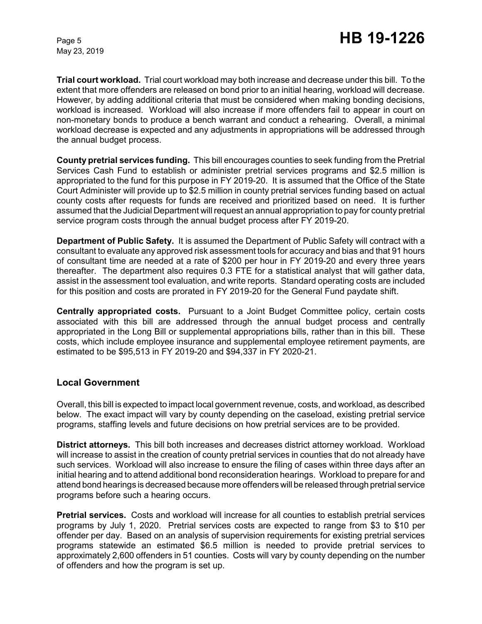**Trial court workload.** Trial court workload may both increase and decrease under this bill. To the extent that more offenders are released on bond prior to an initial hearing, workload will decrease. However, by adding additional criteria that must be considered when making bonding decisions, workload is increased. Workload will also increase if more offenders fail to appear in court on non-monetary bonds to produce a bench warrant and conduct a rehearing. Overall, a minimal workload decrease is expected and any adjustments in appropriations will be addressed through the annual budget process.

**County pretrial services funding.** This bill encourages counties to seek funding from the Pretrial Services Cash Fund to establish or administer pretrial services programs and \$2.5 million is appropriated to the fund for this purpose in FY 2019-20. It is assumed that the Office of the State Court Administer will provide up to \$2.5 million in county pretrial services funding based on actual county costs after requests for funds are received and prioritized based on need. It is further assumed that the Judicial Department will request an annual appropriation to pay for county pretrial service program costs through the annual budget process after FY 2019-20.

**Department of Public Safety.** It is assumed the Department of Public Safety will contract with a consultant to evaluate any approved risk assessment tools for accuracy and bias and that 91 hours of consultant time are needed at a rate of \$200 per hour in FY 2019-20 and every three years thereafter. The department also requires 0.3 FTE for a statistical analyst that will gather data, assist in the assessment tool evaluation, and write reports. Standard operating costs are included for this position and costs are prorated in FY 2019-20 for the General Fund paydate shift.

**Centrally appropriated costs.** Pursuant to a Joint Budget Committee policy, certain costs associated with this bill are addressed through the annual budget process and centrally appropriated in the Long Bill or supplemental appropriations bills, rather than in this bill. These costs, which include employee insurance and supplemental employee retirement payments, are estimated to be \$95,513 in FY 2019-20 and \$94,337 in FY 2020-21.

## **Local Government**

Overall, this bill is expected to impact local government revenue, costs, and workload, as described below. The exact impact will vary by county depending on the caseload, existing pretrial service programs, staffing levels and future decisions on how pretrial services are to be provided.

**District attorneys.** This bill both increases and decreases district attorney workload. Workload will increase to assist in the creation of county pretrial services in counties that do not already have such services. Workload will also increase to ensure the filing of cases within three days after an initial hearing and to attend additional bond reconsideration hearings. Workload to prepare for and attend bond hearings is decreased because more offenders will be released through pretrial service programs before such a hearing occurs.

**Pretrial services.** Costs and workload will increase for all counties to establish pretrial services programs by July 1, 2020. Pretrial services costs are expected to range from \$3 to \$10 per offender per day. Based on an analysis of supervision requirements for existing pretrial services programs statewide an estimated \$6.5 million is needed to provide pretrial services to approximately 2,600 offenders in 51 counties. Costs will vary by county depending on the number of offenders and how the program is set up.